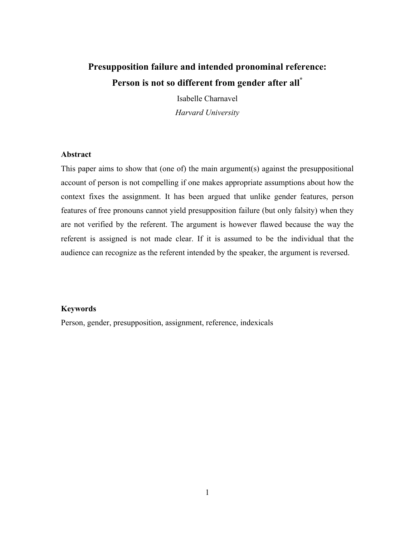# **Presupposition failure and intended pronominal reference: Person is not so different from gender after all\***

Isabelle Charnavel *Harvard University*

## **Abstract**

This paper aims to show that (one of) the main argument(s) against the presuppositional account of person is not compelling if one makes appropriate assumptions about how the context fixes the assignment. It has been argued that unlike gender features, person features of free pronouns cannot yield presupposition failure (but only falsity) when they are not verified by the referent. The argument is however flawed because the way the referent is assigned is not made clear. If it is assumed to be the individual that the audience can recognize as the referent intended by the speaker, the argument is reversed.

#### **Keywords**

Person, gender, presupposition, assignment, reference, indexicals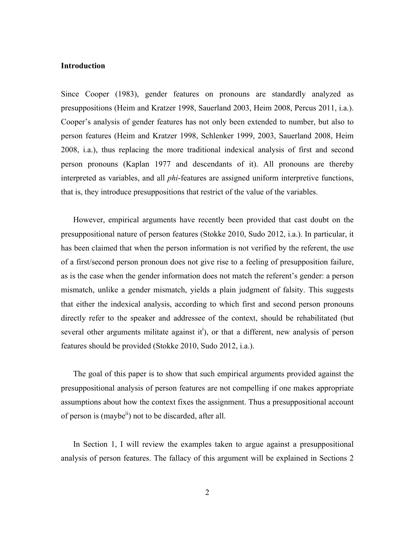## **Introduction**

Since Cooper (1983), gender features on pronouns are standardly analyzed as presuppositions (Heim and Kratzer 1998, Sauerland 2003, Heim 2008, Percus 2011, i.a.). Cooper's analysis of gender features has not only been extended to number, but also to person features (Heim and Kratzer 1998, Schlenker 1999, 2003, Sauerland 2008, Heim 2008, i.a.), thus replacing the more traditional indexical analysis of first and second person pronouns (Kaplan 1977 and descendants of it). All pronouns are thereby interpreted as variables, and all *phi*-features are assigned uniform interpretive functions, that is, they introduce presuppositions that restrict of the value of the variables.

However, empirical arguments have recently been provided that cast doubt on the presuppositional nature of person features (Stokke 2010, Sudo 2012, i.a.). In particular, it has been claimed that when the person information is not verified by the referent, the use of a first/second person pronoun does not give rise to a feeling of presupposition failure, as is the case when the gender information does not match the referent's gender: a person mismatch, unlike a gender mismatch, yields a plain judgment of falsity. This suggests that either the indexical analysis, according to which first and second person pronouns directly refer to the speaker and addressee of the context, should be rehabilitated (but several other arguments militate against it<sup>i</sup>), or that a different, new analysis of person features should be provided (Stokke 2010, Sudo 2012, i.a.).

The goal of this paper is to show that such empirical arguments provided against the presuppositional analysis of person features are not compelling if one makes appropriate assumptions about how the context fixes the assignment. Thus a presuppositional account of person is  $(maybe^{ii})$  not to be discarded, after all.

In Section 1, I will review the examples taken to argue against a presuppositional analysis of person features. The fallacy of this argument will be explained in Sections 2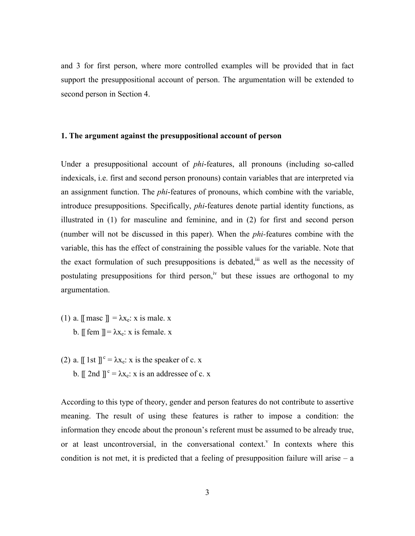and 3 for first person, where more controlled examples will be provided that in fact support the presuppositional account of person. The argumentation will be extended to second person in Section 4.

# **1. The argument against the presuppositional account of person**

Under a presuppositional account of *phi*-features, all pronouns (including so-called indexicals, i.e. first and second person pronouns) contain variables that are interpreted via an assignment function. The *phi*-features of pronouns, which combine with the variable, introduce presuppositions. Specifically, *phi*-features denote partial identity functions, as illustrated in (1) for masculine and feminine, and in (2) for first and second person (number will not be discussed in this paper). When the *phi-*features combine with the variable, this has the effect of constraining the possible values for the variable. Note that the exact formulation of such presuppositions is debated, iii as well as the necessity of postulating presuppositions for third person, $\frac{iv}{v}$  but these issues are orthogonal to my argumentation.

- (1) a.  $\parallel$  masc  $\parallel$  =  $\lambda$ x<sub>e</sub>: x is male. x
	- b.  $\parallel$  fem  $\parallel = \lambda x_e$ : x is female. x
- (2) a.  $\llbracket 1$ st  $\rrbracket^c = \lambda x_e$ : x is the speaker of c. x
	- b.  $\[\]$  2nd  $\]$ <sup>c</sup> =  $\lambda x_e$ : x is an addressee of c. x

According to this type of theory, gender and person features do not contribute to assertive meaning. The result of using these features is rather to impose a condition: the information they encode about the pronoun's referent must be assumed to be already true, or at least uncontroversial, in the conversational context.<sup>v</sup> In contexts where this condition is not met, it is predicted that a feeling of presupposition failure will arise  $-$  a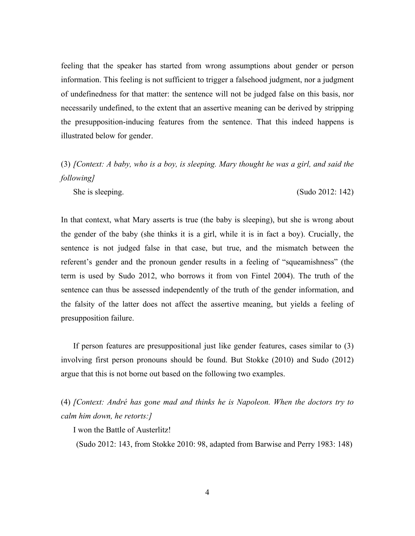feeling that the speaker has started from wrong assumptions about gender or person information. This feeling is not sufficient to trigger a falsehood judgment, nor a judgment of undefinedness for that matter: the sentence will not be judged false on this basis, nor necessarily undefined, to the extent that an assertive meaning can be derived by stripping the presupposition-inducing features from the sentence. That this indeed happens is illustrated below for gender.

# (3) *[Context: A baby, who is a boy, is sleeping. Mary thought he was a girl, and said the following]*

She is sleeping. (Sudo 2012: 142)

In that context, what Mary asserts is true (the baby is sleeping), but she is wrong about the gender of the baby (she thinks it is a girl, while it is in fact a boy). Crucially, the sentence is not judged false in that case, but true, and the mismatch between the referent's gender and the pronoun gender results in a feeling of "squeamishness" (the term is used by Sudo 2012, who borrows it from von Fintel 2004). The truth of the sentence can thus be assessed independently of the truth of the gender information, and the falsity of the latter does not affect the assertive meaning, but yields a feeling of presupposition failure.

If person features are presuppositional just like gender features, cases similar to (3) involving first person pronouns should be found. But Stokke (2010) and Sudo (2012) argue that this is not borne out based on the following two examples.

(4) *[Context: André has gone mad and thinks he is Napoleon. When the doctors try to calm him down, he retorts:]*

I won the Battle of Austerlitz!

(Sudo 2012: 143, from Stokke 2010: 98, adapted from Barwise and Perry 1983: 148)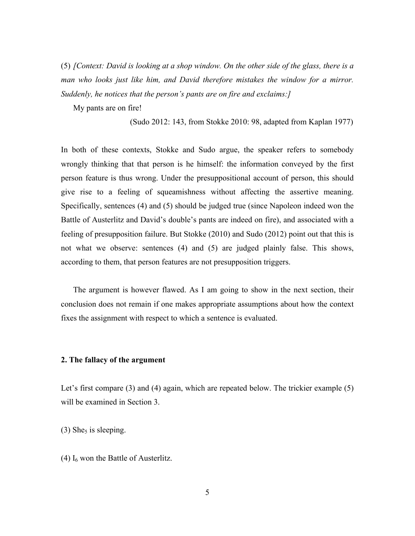(5) *[Context: David is looking at a shop window. On the other side of the glass, there is a man who looks just like him, and David therefore mistakes the window for a mirror. Suddenly, he notices that the person's pants are on fire and exclaims:]*

My pants are on fire!

(Sudo 2012: 143, from Stokke 2010: 98, adapted from Kaplan 1977)

In both of these contexts, Stokke and Sudo argue, the speaker refers to somebody wrongly thinking that that person is he himself: the information conveyed by the first person feature is thus wrong. Under the presuppositional account of person, this should give rise to a feeling of squeamishness without affecting the assertive meaning. Specifically, sentences (4) and (5) should be judged true (since Napoleon indeed won the Battle of Austerlitz and David's double's pants are indeed on fire), and associated with a feeling of presupposition failure. But Stokke (2010) and Sudo (2012) point out that this is not what we observe: sentences (4) and (5) are judged plainly false. This shows, according to them, that person features are not presupposition triggers.

The argument is however flawed. As I am going to show in the next section, their conclusion does not remain if one makes appropriate assumptions about how the context fixes the assignment with respect to which a sentence is evaluated.

#### **2. The fallacy of the argument**

Let's first compare (3) and (4) again, which are repeated below. The trickier example (5) will be examined in Section 3.

 $(3)$  She<sub>5</sub> is sleeping.

(4)  $I_6$  won the Battle of Austerlitz.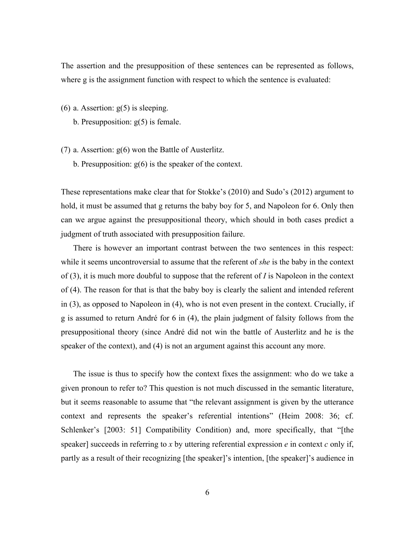The assertion and the presupposition of these sentences can be represented as follows, where g is the assignment function with respect to which the sentence is evaluated:

- (6) a. Assertion:  $g(5)$  is sleeping.
	- b. Presupposition:  $g(5)$  is female.
- (7) a. Assertion: g(6) won the Battle of Austerlitz.
	- b. Presupposition:  $g(6)$  is the speaker of the context.

These representations make clear that for Stokke's (2010) and Sudo's (2012) argument to hold, it must be assumed that g returns the baby boy for 5, and Napoleon for 6. Only then can we argue against the presuppositional theory, which should in both cases predict a judgment of truth associated with presupposition failure.

There is however an important contrast between the two sentences in this respect: while it seems uncontroversial to assume that the referent of *she* is the baby in the context of (3), it is much more doubful to suppose that the referent of *I* is Napoleon in the context of (4). The reason for that is that the baby boy is clearly the salient and intended referent in (3), as opposed to Napoleon in (4), who is not even present in the context. Crucially, if g is assumed to return André for 6 in (4), the plain judgment of falsity follows from the presuppositional theory (since André did not win the battle of Austerlitz and he is the speaker of the context), and (4) is not an argument against this account any more.

The issue is thus to specify how the context fixes the assignment: who do we take a given pronoun to refer to? This question is not much discussed in the semantic literature, but it seems reasonable to assume that "the relevant assignment is given by the utterance context and represents the speaker's referential intentions" (Heim 2008: 36; cf. Schlenker's [2003: 51] Compatibility Condition) and, more specifically, that "[the speaker] succeeds in referring to *x* by uttering referential expression *e* in context *c* only if, partly as a result of their recognizing [the speaker]'s intention, [the speaker]'s audience in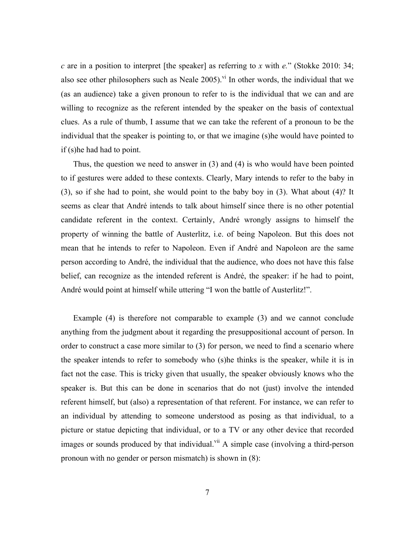*c* are in a position to interpret [the speaker] as referring to *x* with *e.*" (Stokke 2010: 34; also see other philosophers such as Neale 2005).<sup> $vi$ </sup> In other words, the individual that we (as an audience) take a given pronoun to refer to is the individual that we can and are willing to recognize as the referent intended by the speaker on the basis of contextual clues. As a rule of thumb, I assume that we can take the referent of a pronoun to be the individual that the speaker is pointing to, or that we imagine (s)he would have pointed to if (s)he had had to point.

Thus, the question we need to answer in (3) and (4) is who would have been pointed to if gestures were added to these contexts. Clearly, Mary intends to refer to the baby in (3), so if she had to point, she would point to the baby boy in (3). What about (4)? It seems as clear that André intends to talk about himself since there is no other potential candidate referent in the context. Certainly, André wrongly assigns to himself the property of winning the battle of Austerlitz, i.e. of being Napoleon. But this does not mean that he intends to refer to Napoleon. Even if André and Napoleon are the same person according to André, the individual that the audience, who does not have this false belief, can recognize as the intended referent is André, the speaker: if he had to point, André would point at himself while uttering "I won the battle of Austerlitz!".

Example (4) is therefore not comparable to example (3) and we cannot conclude anything from the judgment about it regarding the presuppositional account of person. In order to construct a case more similar to (3) for person, we need to find a scenario where the speaker intends to refer to somebody who (s)he thinks is the speaker, while it is in fact not the case. This is tricky given that usually, the speaker obviously knows who the speaker is. But this can be done in scenarios that do not (just) involve the intended referent himself, but (also) a representation of that referent. For instance, we can refer to an individual by attending to someone understood as posing as that individual, to a picture or statue depicting that individual, or to a TV or any other device that recorded images or sounds produced by that individual.<sup>vii</sup> A simple case (involving a third-person pronoun with no gender or person mismatch) is shown in (8):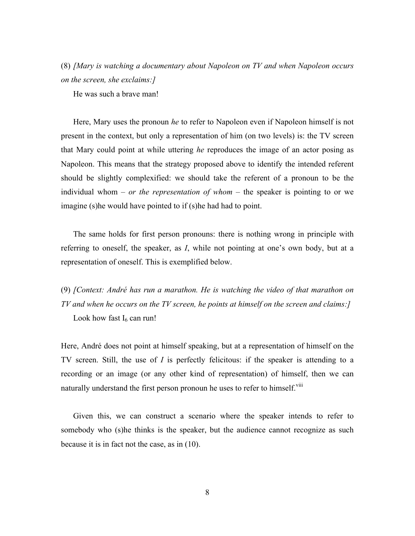(8) *[Mary is watching a documentary about Napoleon on TV and when Napoleon occurs on the screen, she exclaims:]*

He was such a brave man!

Here, Mary uses the pronoun *he* to refer to Napoleon even if Napoleon himself is not present in the context, but only a representation of him (on two levels) is: the TV screen that Mary could point at while uttering *he* reproduces the image of an actor posing as Napoleon. This means that the strategy proposed above to identify the intended referent should be slightly complexified: we should take the referent of a pronoun to be the individual whom – *or the representation of whom* – the speaker is pointing to or we imagine (s)he would have pointed to if (s)he had had to point.

The same holds for first person pronouns: there is nothing wrong in principle with referring to oneself, the speaker, as *I*, while not pointing at one's own body, but at a representation of oneself. This is exemplified below.

(9) *[Context: André has run a marathon. He is watching the video of that marathon on TV and when he occurs on the TV screen, he points at himself on the screen and claims:]* Look how fast  $I_6$  can run!

Here, André does not point at himself speaking, but at a representation of himself on the TV screen. Still, the use of *I* is perfectly felicitous: if the speaker is attending to a recording or an image (or any other kind of representation) of himself, then we can naturally understand the first person pronoun he uses to refer to himself.<sup>viii</sup>

Given this, we can construct a scenario where the speaker intends to refer to somebody who (s)he thinks is the speaker, but the audience cannot recognize as such because it is in fact not the case, as in (10).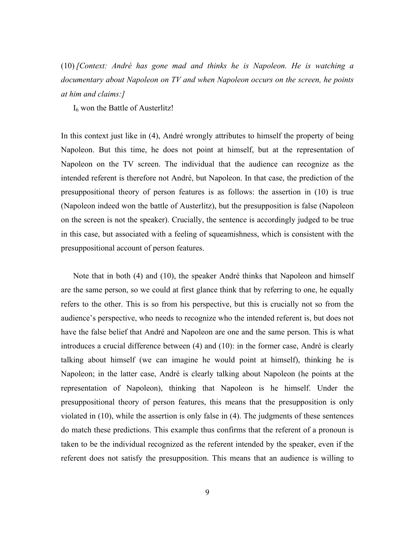(10) *[Context: André has gone mad and thinks he is Napoleon. He is watching a documentary about Napoleon on TV and when Napoleon occurs on the screen, he points at him and claims:]*

I6 won the Battle of Austerlitz!

In this context just like in (4), André wrongly attributes to himself the property of being Napoleon. But this time, he does not point at himself, but at the representation of Napoleon on the TV screen. The individual that the audience can recognize as the intended referent is therefore not André, but Napoleon. In that case, the prediction of the presuppositional theory of person features is as follows: the assertion in (10) is true (Napoleon indeed won the battle of Austerlitz), but the presupposition is false (Napoleon on the screen is not the speaker). Crucially, the sentence is accordingly judged to be true in this case, but associated with a feeling of squeamishness, which is consistent with the presuppositional account of person features.

Note that in both (4) and (10), the speaker André thinks that Napoleon and himself are the same person, so we could at first glance think that by referring to one, he equally refers to the other. This is so from his perspective, but this is crucially not so from the audience's perspective, who needs to recognize who the intended referent is, but does not have the false belief that André and Napoleon are one and the same person. This is what introduces a crucial difference between (4) and (10): in the former case, André is clearly talking about himself (we can imagine he would point at himself), thinking he is Napoleon; in the latter case, André is clearly talking about Napoleon (he points at the representation of Napoleon), thinking that Napoleon is he himself. Under the presuppositional theory of person features, this means that the presupposition is only violated in (10), while the assertion is only false in (4). The judgments of these sentences do match these predictions. This example thus confirms that the referent of a pronoun is taken to be the individual recognized as the referent intended by the speaker, even if the referent does not satisfy the presupposition. This means that an audience is willing to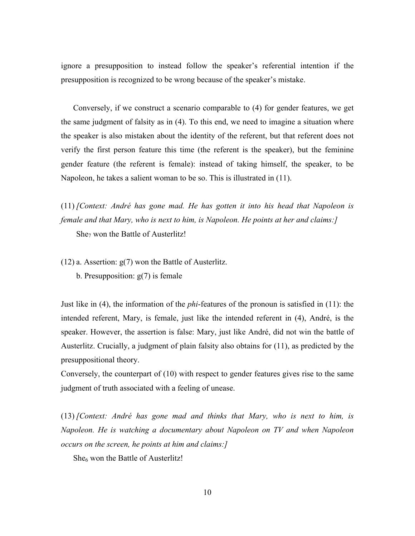ignore a presupposition to instead follow the speaker's referential intention if the presupposition is recognized to be wrong because of the speaker's mistake.

Conversely, if we construct a scenario comparable to (4) for gender features, we get the same judgment of falsity as in (4). To this end, we need to imagine a situation where the speaker is also mistaken about the identity of the referent, but that referent does not verify the first person feature this time (the referent is the speaker), but the feminine gender feature (the referent is female): instead of taking himself, the speaker, to be Napoleon, he takes a salient woman to be so. This is illustrated in (11).

(11) *[Context: André has gone mad. He has gotten it into his head that Napoleon is female and that Mary, who is next to him, is Napoleon. He points at her and claims:]* She<sub>7</sub> won the Battle of Austerlitz!

(12) a. Assertion: g(7) won the Battle of Austerlitz.

b. Presupposition:  $g(7)$  is female

Just like in (4), the information of the *phi*-features of the pronoun is satisfied in (11): the intended referent, Mary, is female, just like the intended referent in (4), André, is the speaker. However, the assertion is false: Mary, just like André, did not win the battle of Austerlitz. Crucially, a judgment of plain falsity also obtains for (11), as predicted by the presuppositional theory.

Conversely, the counterpart of (10) with respect to gender features gives rise to the same judgment of truth associated with a feeling of unease.

(13) *[Context: André has gone mad and thinks that Mary, who is next to him, is Napoleon. He is watching a documentary about Napoleon on TV and when Napoleon occurs on the screen, he points at him and claims:]*

 $She<sub>6</sub>$  won the Battle of Austerlitz!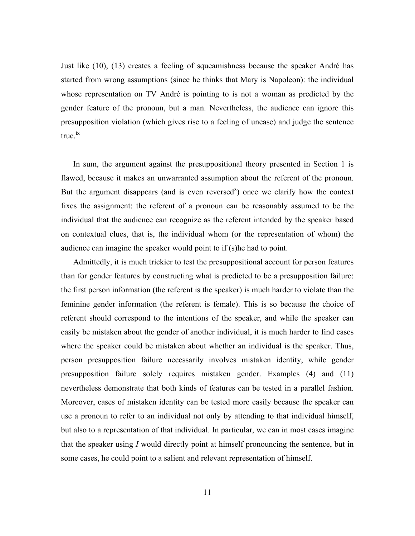Just like (10), (13) creates a feeling of squeamishness because the speaker André has started from wrong assumptions (since he thinks that Mary is Napoleon): the individual whose representation on TV André is pointing to is not a woman as predicted by the gender feature of the pronoun, but a man. Nevertheless, the audience can ignore this presupposition violation (which gives rise to a feeling of unease) and judge the sentence true.<sup>ix</sup>

In sum, the argument against the presuppositional theory presented in Section 1 is flawed, because it makes an unwarranted assumption about the referent of the pronoun. But the argument disappears (and is even reversed<sup>x</sup>) once we clarify how the context fixes the assignment: the referent of a pronoun can be reasonably assumed to be the individual that the audience can recognize as the referent intended by the speaker based on contextual clues, that is, the individual whom (or the representation of whom) the audience can imagine the speaker would point to if (s)he had to point.

Admittedly, it is much trickier to test the presuppositional account for person features than for gender features by constructing what is predicted to be a presupposition failure: the first person information (the referent is the speaker) is much harder to violate than the feminine gender information (the referent is female). This is so because the choice of referent should correspond to the intentions of the speaker, and while the speaker can easily be mistaken about the gender of another individual, it is much harder to find cases where the speaker could be mistaken about whether an individual is the speaker. Thus, person presupposition failure necessarily involves mistaken identity, while gender presupposition failure solely requires mistaken gender. Examples (4) and (11) nevertheless demonstrate that both kinds of features can be tested in a parallel fashion. Moreover, cases of mistaken identity can be tested more easily because the speaker can use a pronoun to refer to an individual not only by attending to that individual himself, but also to a representation of that individual. In particular, we can in most cases imagine that the speaker using *I* would directly point at himself pronouncing the sentence, but in some cases, he could point to a salient and relevant representation of himself.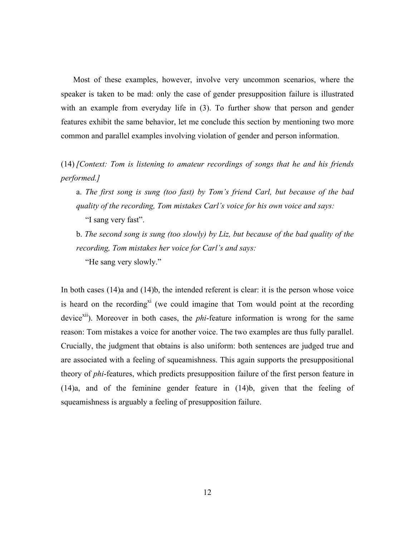Most of these examples, however, involve very uncommon scenarios, where the speaker is taken to be mad: only the case of gender presupposition failure is illustrated with an example from everyday life in (3). To further show that person and gender features exhibit the same behavior, let me conclude this section by mentioning two more common and parallel examples involving violation of gender and person information.

(14) *[Context: Tom is listening to amateur recordings of songs that he and his friends performed.]*

a. *The first song is sung (too fast) by Tom's friend Carl, but because of the bad quality of the recording, Tom mistakes Carl's voice for his own voice and says:*

"I sang very fast".

b. *The second song is sung (too slowly) by Liz, but because of the bad quality of the recording, Tom mistakes her voice for Carl's and says:*

"He sang very slowly."

In both cases (14)a and (14)b, the intended referent is clear: it is the person whose voice is heard on the recording<sup>xi</sup> (we could imagine that Tom would point at the recording device<sup>xii</sup>). Moreover in both cases, the *phi*-feature information is wrong for the same reason: Tom mistakes a voice for another voice. The two examples are thus fully parallel. Crucially, the judgment that obtains is also uniform: both sentences are judged true and are associated with a feeling of squeamishness. This again supports the presuppositional theory of *phi*-features, which predicts presupposition failure of the first person feature in (14)a, and of the feminine gender feature in (14)b, given that the feeling of squeamishness is arguably a feeling of presupposition failure.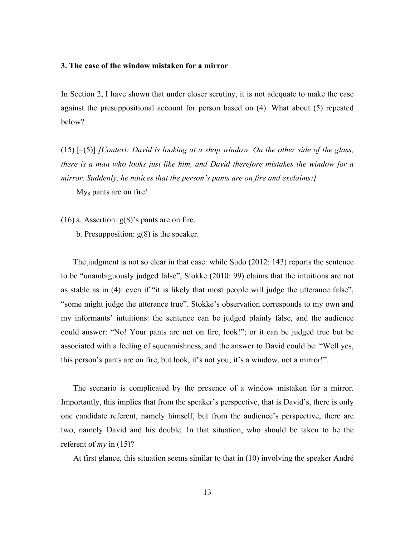# **3. The case of the window mistaken for a mirror**

In Section 2, I have shown that under closer scrutiny, it is not adequate to make the case against the presuppositional account for person based on (4). What about (5) repeated below?

(15) [=(5)] *[Context: David is looking at a shop window. On the other side of the glass, there is a man who looks just like him, and David therefore mistakes the window for a mirror. Suddenly, he notices that the person's pants are on fire and exclaims:]*

My<sub>8</sub> pants are on fire!

 $(16)$  a. Assertion:  $g(8)$ 's pants are on fire.

b. Presupposition:  $g(8)$  is the speaker.

The judgment is not so clear in that case: while Sudo (2012: 143) reports the sentence to be "unambiguously judged false", Stokke (2010: 99) claims that the intuitions are not as stable as in (4): even if "it is likely that most people will judge the utterance false", "some might judge the utterance true". Stokke's observation corresponds to my own and my informants' intuitions: the sentence can be judged plainly false, and the audience could answer: "No! Your pants are not on fire, look!"; or it can be judged true but be associated with a feeling of squeamishness, and the answer to David could be: "Well yes, this person's pants are on fire, but look, it's not you; it's a window, not a mirror!".

The scenario is complicated by the presence of a window mistaken for a mirror. Importantly, this implies that from the speaker's perspective, that is David's, there is only one candidate referent, namely himself, but from the audience's perspective, there are two, namely David and his double. In that situation, who should be taken to be the referent of *my* in (15)?

At first glance, this situation seems similar to that in (10) involving the speaker André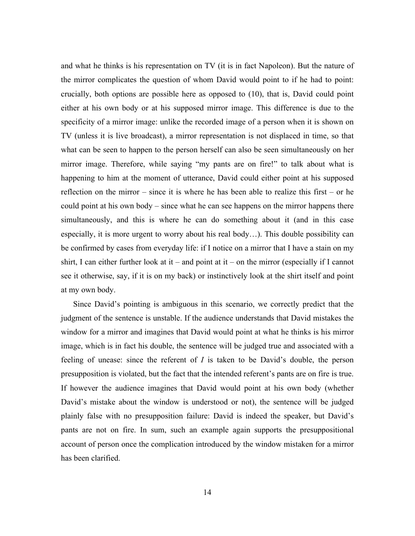and what he thinks is his representation on TV (it is in fact Napoleon). But the nature of the mirror complicates the question of whom David would point to if he had to point: crucially, both options are possible here as opposed to (10), that is, David could point either at his own body or at his supposed mirror image. This difference is due to the specificity of a mirror image: unlike the recorded image of a person when it is shown on TV (unless it is live broadcast), a mirror representation is not displaced in time, so that what can be seen to happen to the person herself can also be seen simultaneously on her mirror image. Therefore, while saying "my pants are on fire!" to talk about what is happening to him at the moment of utterance, David could either point at his supposed reflection on the mirror – since it is where he has been able to realize this first – or he could point at his own body – since what he can see happens on the mirror happens there simultaneously, and this is where he can do something about it (and in this case especially, it is more urgent to worry about his real body…). This double possibility can be confirmed by cases from everyday life: if I notice on a mirror that I have a stain on my shirt, I can either further look at it – and point at it – on the mirror (especially if I cannot see it otherwise, say, if it is on my back) or instinctively look at the shirt itself and point at my own body.

Since David's pointing is ambiguous in this scenario, we correctly predict that the judgment of the sentence is unstable. If the audience understands that David mistakes the window for a mirror and imagines that David would point at what he thinks is his mirror image, which is in fact his double, the sentence will be judged true and associated with a feeling of unease: since the referent of *I* is taken to be David's double, the person presupposition is violated, but the fact that the intended referent's pants are on fire is true. If however the audience imagines that David would point at his own body (whether David's mistake about the window is understood or not), the sentence will be judged plainly false with no presupposition failure: David is indeed the speaker, but David's pants are not on fire. In sum, such an example again supports the presuppositional account of person once the complication introduced by the window mistaken for a mirror has been clarified.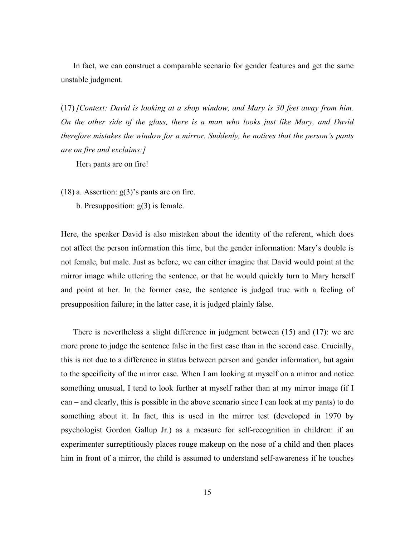In fact, we can construct a comparable scenario for gender features and get the same unstable judgment.

(17) *[Context: David is looking at a shop window, and Mary is 30 feet away from him. On the other side of the glass, there is a man who looks just like Mary, and David therefore mistakes the window for a mirror. Suddenly, he notices that the person's pants are on fire and exclaims:]*

Her<sub>3</sub> pants are on fire!

 $(18)$  a. Assertion:  $g(3)$ 's pants are on fire.

Here, the speaker David is also mistaken about the identity of the referent, which does not affect the person information this time, but the gender information: Mary's double is not female, but male. Just as before, we can either imagine that David would point at the mirror image while uttering the sentence, or that he would quickly turn to Mary herself and point at her. In the former case, the sentence is judged true with a feeling of presupposition failure; in the latter case, it is judged plainly false.

There is nevertheless a slight difference in judgment between (15) and (17): we are more prone to judge the sentence false in the first case than in the second case. Crucially, this is not due to a difference in status between person and gender information, but again to the specificity of the mirror case. When I am looking at myself on a mirror and notice something unusual, I tend to look further at myself rather than at my mirror image (if I can – and clearly, this is possible in the above scenario since I can look at my pants) to do something about it. In fact, this is used in the mirror test (developed in 1970 by psychologist Gordon Gallup Jr.) as a measure for self-recognition in children: if an experimenter surreptitiously places rouge makeup on the nose of a child and then places him in front of a mirror, the child is assumed to understand self-awareness if he touches

b. Presupposition:  $g(3)$  is female.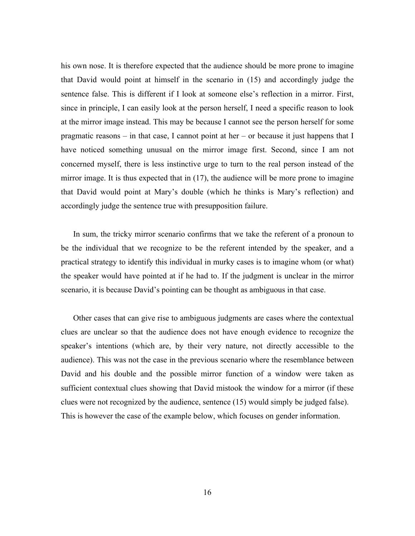his own nose. It is therefore expected that the audience should be more prone to imagine that David would point at himself in the scenario in (15) and accordingly judge the sentence false. This is different if I look at someone else's reflection in a mirror. First, since in principle, I can easily look at the person herself, I need a specific reason to look at the mirror image instead. This may be because I cannot see the person herself for some pragmatic reasons – in that case, I cannot point at her – or because it just happens that I have noticed something unusual on the mirror image first. Second, since I am not concerned myself, there is less instinctive urge to turn to the real person instead of the mirror image. It is thus expected that in (17), the audience will be more prone to imagine that David would point at Mary's double (which he thinks is Mary's reflection) and accordingly judge the sentence true with presupposition failure.

In sum, the tricky mirror scenario confirms that we take the referent of a pronoun to be the individual that we recognize to be the referent intended by the speaker, and a practical strategy to identify this individual in murky cases is to imagine whom (or what) the speaker would have pointed at if he had to. If the judgment is unclear in the mirror scenario, it is because David's pointing can be thought as ambiguous in that case.

Other cases that can give rise to ambiguous judgments are cases where the contextual clues are unclear so that the audience does not have enough evidence to recognize the speaker's intentions (which are, by their very nature, not directly accessible to the audience). This was not the case in the previous scenario where the resemblance between David and his double and the possible mirror function of a window were taken as sufficient contextual clues showing that David mistook the window for a mirror (if these clues were not recognized by the audience, sentence (15) would simply be judged false). This is however the case of the example below, which focuses on gender information.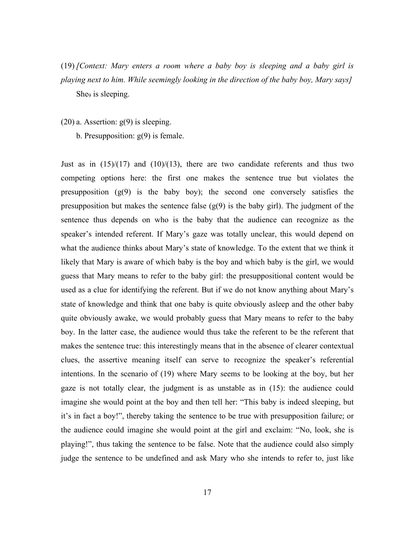(19) *[Context: Mary enters a room where a baby boy is sleeping and a baby girl is playing next to him. While seemingly looking in the direction of the baby boy, Mary says]*  She<sub>9</sub> is sleeping.

- $(20)$  a. Assertion:  $g(9)$  is sleeping.
	- b. Presupposition:  $g(9)$  is female.

Just as in  $(15)/(17)$  and  $(10)/(13)$ , there are two candidate referents and thus two competing options here: the first one makes the sentence true but violates the presupposition  $(g(9)$  is the baby boy); the second one conversely satisfies the presupposition but makes the sentence false  $(g(9)$  is the baby girl). The judgment of the sentence thus depends on who is the baby that the audience can recognize as the speaker's intended referent. If Mary's gaze was totally unclear, this would depend on what the audience thinks about Mary's state of knowledge. To the extent that we think it likely that Mary is aware of which baby is the boy and which baby is the girl, we would guess that Mary means to refer to the baby girl: the presuppositional content would be used as a clue for identifying the referent. But if we do not know anything about Mary's state of knowledge and think that one baby is quite obviously asleep and the other baby quite obviously awake, we would probably guess that Mary means to refer to the baby boy. In the latter case, the audience would thus take the referent to be the referent that makes the sentence true: this interestingly means that in the absence of clearer contextual clues, the assertive meaning itself can serve to recognize the speaker's referential intentions. In the scenario of (19) where Mary seems to be looking at the boy, but her gaze is not totally clear, the judgment is as unstable as in (15): the audience could imagine she would point at the boy and then tell her: "This baby is indeed sleeping, but it's in fact a boy!", thereby taking the sentence to be true with presupposition failure; or the audience could imagine she would point at the girl and exclaim: "No, look, she is playing!", thus taking the sentence to be false. Note that the audience could also simply judge the sentence to be undefined and ask Mary who she intends to refer to, just like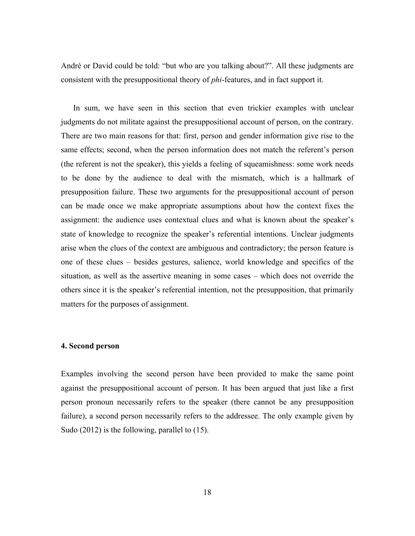André or David could be told: "but who are you talking about?". All these judgments are consistent with the presuppositional theory of *phi*-features, and in fact support it.

In sum, we have seen in this section that even trickier examples with unclear judgments do not militate against the presuppositional account of person, on the contrary. There are two main reasons for that: first, person and gender information give rise to the same effects; second, when the person information does not match the referent's person (the referent is not the speaker), this yields a feeling of squeamishness: some work needs to be done by the audience to deal with the mismatch, which is a hallmark of presupposition failure. These two arguments for the presuppositional account of person can be made once we make appropriate assumptions about how the context fixes the assignment: the audience uses contextual clues and what is known about the speaker's state of knowledge to recognize the speaker's referential intentions. Unclear judgments arise when the clues of the context are ambiguous and contradictory; the person feature is one of these clues – besides gestures, salience, world knowledge and specifics of the situation, as well as the assertive meaning in some cases – which does not override the others since it is the speaker's referential intention, not the presupposition, that primarily matters for the purposes of assignment.

# **4. Second person**

Examples involving the second person have been provided to make the same point against the presuppositional account of person. It has been argued that just like a first person pronoun necessarily refers to the speaker (there cannot be any presupposition failure), a second person necessarily refers to the addressee. The only example given by Sudo (2012) is the following, parallel to (15).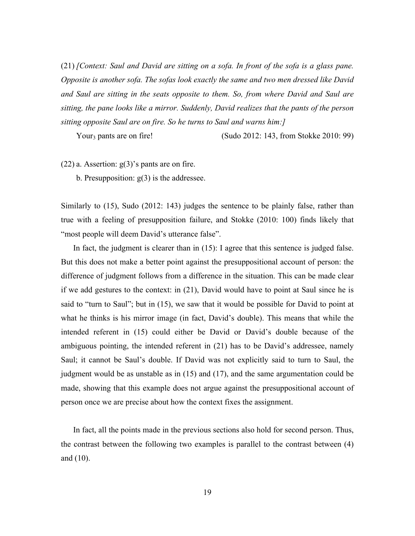(21) *[Context: Saul and David are sitting on a sofa. In front of the sofa is a glass pane. Opposite is another sofa. The sofas look exactly the same and two men dressed like David and Saul are sitting in the seats opposite to them. So, from where David and Saul are sitting, the pane looks like a mirror. Suddenly, David realizes that the pants of the person sitting opposite Saul are on fire. So he turns to Saul and warns him:]*

Your<sub>3</sub> pants are on fire! (Sudo 2012: 143, from Stokke 2010: 99)

 $(22)$  a. Assertion:  $g(3)$ 's pants are on fire.

b. Presupposition:  $g(3)$  is the addressee.

Similarly to (15), Sudo (2012: 143) judges the sentence to be plainly false, rather than true with a feeling of presupposition failure, and Stokke (2010: 100) finds likely that "most people will deem David's utterance false".

In fact, the judgment is clearer than in (15): I agree that this sentence is judged false. But this does not make a better point against the presuppositional account of person: the difference of judgment follows from a difference in the situation. This can be made clear if we add gestures to the context: in (21), David would have to point at Saul since he is said to "turn to Saul"; but in (15), we saw that it would be possible for David to point at what he thinks is his mirror image (in fact, David's double). This means that while the intended referent in (15) could either be David or David's double because of the ambiguous pointing, the intended referent in (21) has to be David's addressee, namely Saul; it cannot be Saul's double. If David was not explicitly said to turn to Saul, the judgment would be as unstable as in (15) and (17), and the same argumentation could be made, showing that this example does not argue against the presuppositional account of person once we are precise about how the context fixes the assignment.

In fact, all the points made in the previous sections also hold for second person. Thus, the contrast between the following two examples is parallel to the contrast between (4) and (10).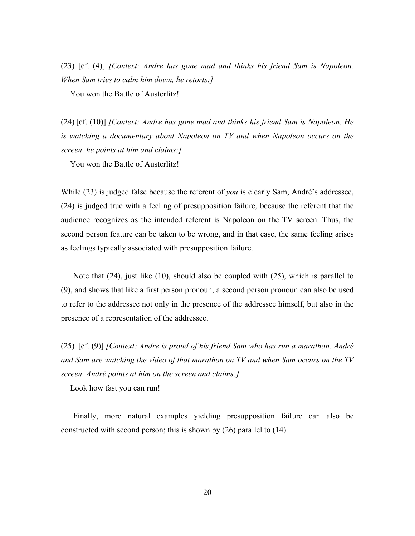(23) [cf. (4)] *[Context: André has gone mad and thinks his friend Sam is Napoleon. When Sam tries to calm him down, he retorts:]*

You won the Battle of Austerlitz!

(24) [cf. (10)] *[Context: André has gone mad and thinks his friend Sam is Napoleon. He is watching a documentary about Napoleon on TV and when Napoleon occurs on the screen, he points at him and claims:]*

You won the Battle of Austerlitz!

While (23) is judged false because the referent of *you* is clearly Sam, André's addressee, (24) is judged true with a feeling of presupposition failure, because the referent that the audience recognizes as the intended referent is Napoleon on the TV screen. Thus, the second person feature can be taken to be wrong, and in that case, the same feeling arises as feelings typically associated with presupposition failure.

Note that (24), just like (10), should also be coupled with (25), which is parallel to (9), and shows that like a first person pronoun, a second person pronoun can also be used to refer to the addressee not only in the presence of the addressee himself, but also in the presence of a representation of the addressee.

(25) [cf. (9)] *[Context: André is proud of his friend Sam who has run a marathon. André and Sam are watching the video of that marathon on TV and when Sam occurs on the TV screen, André points at him on the screen and claims:]*

Look how fast you can run!

Finally, more natural examples yielding presupposition failure can also be constructed with second person; this is shown by (26) parallel to (14).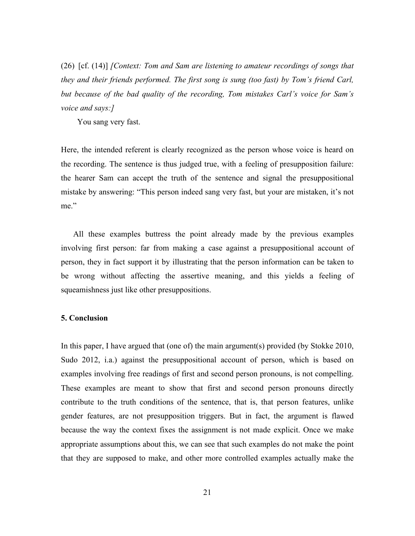(26) [cf. (14)] *[Context: Tom and Sam are listening to amateur recordings of songs that they and their friends performed. The first song is sung (too fast) by Tom's friend Carl, but because of the bad quality of the recording, Tom mistakes Carl's voice for Sam's voice and says:]*

You sang very fast.

Here, the intended referent is clearly recognized as the person whose voice is heard on the recording. The sentence is thus judged true, with a feeling of presupposition failure: the hearer Sam can accept the truth of the sentence and signal the presuppositional mistake by answering: "This person indeed sang very fast, but your are mistaken, it's not me"

All these examples buttress the point already made by the previous examples involving first person: far from making a case against a presuppositional account of person, they in fact support it by illustrating that the person information can be taken to be wrong without affecting the assertive meaning, and this yields a feeling of squeamishness just like other presuppositions.

# **5. Conclusion**

In this paper, I have argued that (one of) the main argument(s) provided (by Stokke 2010, Sudo 2012, i.a.) against the presuppositional account of person, which is based on examples involving free readings of first and second person pronouns, is not compelling. These examples are meant to show that first and second person pronouns directly contribute to the truth conditions of the sentence, that is, that person features, unlike gender features, are not presupposition triggers. But in fact, the argument is flawed because the way the context fixes the assignment is not made explicit. Once we make appropriate assumptions about this, we can see that such examples do not make the point that they are supposed to make, and other more controlled examples actually make the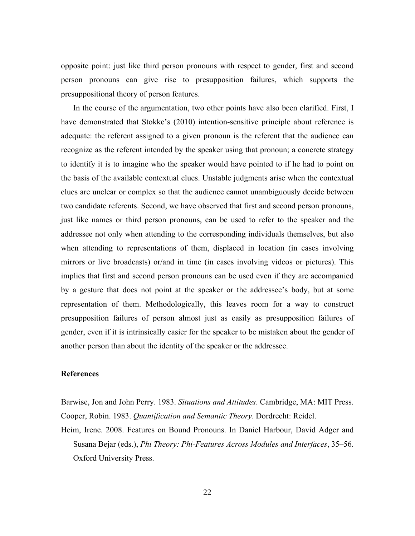opposite point: just like third person pronouns with respect to gender, first and second person pronouns can give rise to presupposition failures, which supports the presuppositional theory of person features.

In the course of the argumentation, two other points have also been clarified. First, I have demonstrated that Stokke's (2010) intention-sensitive principle about reference is adequate: the referent assigned to a given pronoun is the referent that the audience can recognize as the referent intended by the speaker using that pronoun; a concrete strategy to identify it is to imagine who the speaker would have pointed to if he had to point on the basis of the available contextual clues. Unstable judgments arise when the contextual clues are unclear or complex so that the audience cannot unambiguously decide between two candidate referents. Second, we have observed that first and second person pronouns, just like names or third person pronouns, can be used to refer to the speaker and the addressee not only when attending to the corresponding individuals themselves, but also when attending to representations of them, displaced in location (in cases involving mirrors or live broadcasts) or/and in time (in cases involving videos or pictures). This implies that first and second person pronouns can be used even if they are accompanied by a gesture that does not point at the speaker or the addressee's body, but at some representation of them. Methodologically, this leaves room for a way to construct presupposition failures of person almost just as easily as presupposition failures of gender, even if it is intrinsically easier for the speaker to be mistaken about the gender of another person than about the identity of the speaker or the addressee.

# **References**

Barwise, Jon and John Perry. 1983. *Situations and Attitudes*. Cambridge, MA: MIT Press. Cooper, Robin. 1983. *Quantification and Semantic Theory*. Dordrecht: Reidel.

Heim, Irene. 2008. Features on Bound Pronouns. In Daniel Harbour, David Adger and Susana Bejar (eds.), *Phi Theory: Phi-Features Across Modules and Interfaces*, 35–56. Oxford University Press.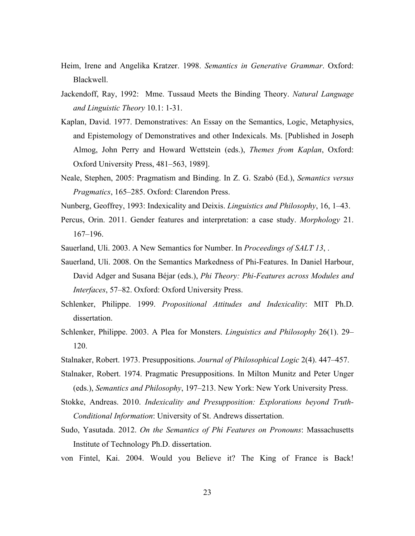- Heim, Irene and Angelika Kratzer. 1998. *Semantics in Generative Grammar*. Oxford: Blackwell.
- Jackendoff, Ray, 1992: Mme. Tussaud Meets the Binding Theory. *Natural Language and Linguistic Theory* 10.1: 1-31.
- Kaplan, David. 1977. Demonstratives: An Essay on the Semantics, Logic, Metaphysics, and Epistemology of Demonstratives and other Indexicals. Ms. [Published in Joseph Almog, John Perry and Howard Wettstein (eds.), *Themes from Kaplan*, Oxford: Oxford University Press, 481–563, 1989].
- Neale, Stephen, 2005: Pragmatism and Binding. In Z. G. Szabó (Ed.), *Semantics versus Pragmatics*, 165–285. Oxford: Clarendon Press.
- Nunberg, Geoffrey, 1993: Indexicality and Deixis. *Linguistics and Philosophy*, 16, 1–43.
- Percus, Orin. 2011. Gender features and interpretation: a case study. *Morphology* 21. 167–196.
- Sauerland, Uli. 2003. A New Semantics for Number. In *Proceedings of SALT 13*, .
- Sauerland, Uli. 2008. On the Semantics Markedness of Phi-Features. In Daniel Harbour, David Adger and Susana Béjar (eds.), *Phi Theory: Phi-Features across Modules and Interfaces*, 57–82. Oxford: Oxford University Press.
- Schlenker, Philippe. 1999. *Propositional Attitudes and Indexicality*: MIT Ph.D. dissertation.
- Schlenker, Philippe. 2003. A Plea for Monsters. *Linguistics and Philosophy* 26(1). 29– 120.
- Stalnaker, Robert. 1973. Presuppositions. *Journal of Philosophical Logic* 2(4). 447–457.
- Stalnaker, Robert. 1974. Pragmatic Presuppositions. In Milton Munitz and Peter Unger (eds.), *Semantics and Philosophy*, 197–213. New York: New York University Press.
- Stokke, Andreas. 2010. *Indexicality and Presupposition: Explorations beyond Truth-Conditional Information*: University of St. Andrews dissertation.
- Sudo, Yasutada. 2012. *On the Semantics of Phi Features on Pronouns*: Massachusetts Institute of Technology Ph.D. dissertation.
- von Fintel, Kai. 2004. Would you Believe it? The King of France is Back!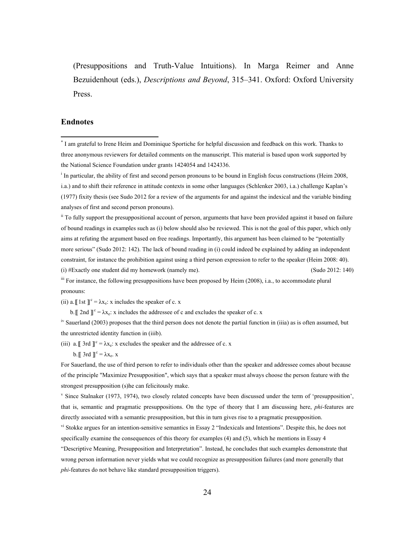(Presuppositions and Truth-Value Intuitions). In Marga Reimer and Anne Bezuidenhout (eds.), *Descriptions and Beyond*, 315–341. Oxford: Oxford University Press.

#### **Endnotes**

i.a.) and to shift their reference in attitude contexts in some other languages (Schlenker 2003, i.a.) challenge Kaplan's (1977) fixity thesis (see Sudo 2012 for a review of the arguments for and against the indexical and the variable binding analyses of first and second person pronouns).

<sup>ii</sup> To fully support the presuppositional account of person, arguments that have been provided against it based on failure of bound readings in examples such as (i) below should also be reviewed. This is not the goal of this paper, which only aims at refuting the argument based on free readings. Importantly, this argument has been claimed to be "potentially more serious" (Sudo 2012: 142). The lack of bound reading in (i) could indeed be explained by adding an independent constraint, for instance the prohibition against using a third person expression to refer to the speaker (Heim 2008: 40). (i) #Exactly one student did my homework (namely me). (Sudo 2012: 140)

iii For instance, the following presuppositions have been proposed by Heim (2008), i.a., to accommodate plural pronouns:

(ii) a.  $[$  1st  $]$ <sup>c</sup> =  $\lambda$ x<sub>e</sub>: x includes the speaker of c. x

b.  $\parallel$  2nd  $\parallel$ <sup>c</sup> =  $\lambda$ x<sub>e</sub>: x includes the addressee of c and excludes the speaker of c. x

<sup>iv</sup> Sauerland (2003) proposes that the third person does not denote the partial function in (iiia) as is often assumed, but the unrestricted identity function in (iiib).

(iii) a.  $\int 3rd \int_0^c = \lambda x_e$ : x excludes the speaker and the addressee of c. x

b.  $\mathbf{J}$  3rd  $\mathbf{J}^c = \lambda \mathbf{x}_e$ . x

For Sauerland, the use of third person to refer to individuals other than the speaker and addressee comes about because of the principle "Maximize Presupposition", which says that a speaker must always choose the person feature with the strongest presupposition (s)he can felicitously make.

<sup>v</sup> Since Stalnaker (1973, 1974), two closely related concepts have been discussed under the term of 'presupposition', that is, semantic and pragmatic presuppositions. On the type of theory that I am discussing here, *phi*-features are directly associated with a semantic presupposition, but this in turn gives rise to a pragmatic presupposition.

vi Stokke argues for an intention-sensitive semantics in Essay 2 "Indexicals and Intentions". Despite this, he does not specifically examine the consequences of this theory for examples (4) and (5), which he mentions in Essay 4

"Descriptive Meaning, Presupposition and Interpretation". Instead, he concludes that such examples demonstrate that wrong person information never yields what we could recognize as presupposition failures (and more generally that *phi*-features do not behave like standard presupposition triggers).

 \* I am grateful to Irene Heim and Dominique Sportiche for helpful discussion and feedback on this work. Thanks to three anonymous reviewers for detailed comments on the manuscript. This material is based upon work supported by the National Science Foundation under grants 1424054 and 1424336.

<sup>&</sup>lt;sup>i</sup> In particular, the ability of first and second person pronouns to be bound in English focus constructions (Heim 2008,